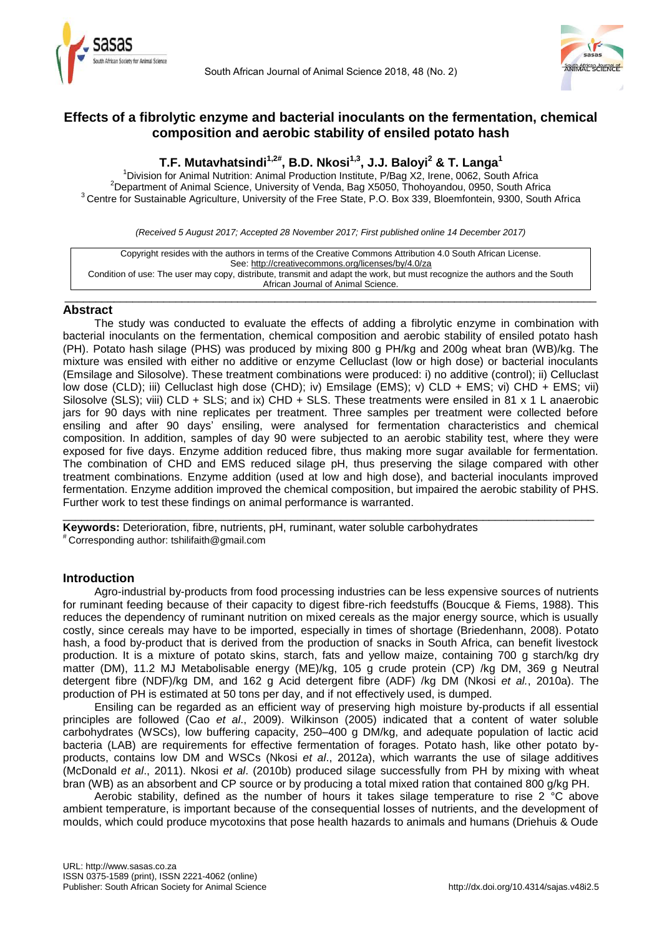



# **Effects of a fibrolytic enzyme and bacterial inoculants on the fermentation, chemical composition and aerobic stability of ensiled potato hash**

# **T.F. Mutavhatsindi1,2#, B.D. Nkosi1,3 , J.J. Baloyi<sup>2</sup> & T. Langa<sup>1</sup>**

<sup>1</sup>Division for Animal Nutrition: Animal Production Institute, P/Bag X2, Irene, 0062, South Africa <sup>2</sup>Department of Animal Science, University of Venda, Bag X5050, Thohoyandou, 0950, South Africa <sup>3</sup> Centre for Sustainable Agriculture, University of the Free State, P.O. Box 339, Bloemfontein, 9300, South Africa

*(Received 5 August 2017; Accepted 28 November 2017; First published online 14 December 2017)*

Copyright resides with the authors in terms of the Creative Commons Attribution 4.0 South African License. See:<http://creativecommons.org/licenses/by/4.0/za> Condition of use: The user may copy, distribute, transmit and adapt the work, but must recognize the authors and the South African Journal of Animal Science.

\_\_\_\_\_\_\_\_\_\_\_\_\_\_\_\_\_\_\_\_\_\_\_\_\_\_\_\_\_\_\_\_\_\_\_\_\_\_\_\_\_\_\_\_\_\_\_\_\_\_\_\_\_\_\_\_\_\_\_\_\_\_\_\_\_\_\_\_\_\_\_\_\_\_\_\_\_\_\_\_\_\_\_\_\_\_

## **Abstract**

The study was conducted to evaluate the effects of adding a fibrolytic enzyme in combination with bacterial inoculants on the fermentation, chemical composition and aerobic stability of ensiled potato hash (PH). Potato hash silage (PHS) was produced by mixing 800 g PH/kg and 200g wheat bran (WB)/kg. The mixture was ensiled with either no additive or enzyme Celluclast (low or high dose) or bacterial inoculants (Emsilage and Silosolve). These treatment combinations were produced: i) no additive (control); ii) Celluclast low dose (CLD); iii) Celluclast high dose (CHD); iv) Emsilage (EMS); v) CLD + EMS; vi) CHD + EMS; vii) Silosolve (SLS); viii) CLD + SLS; and ix) CHD + SLS. These treatments were ensiled in 81 x 1 L anaerobic jars for 90 days with nine replicates per treatment. Three samples per treatment were collected before ensiling and after 90 days' ensiling, were analysed for fermentation characteristics and chemical composition. In addition, samples of day 90 were subjected to an aerobic stability test, where they were exposed for five days. Enzyme addition reduced fibre, thus making more sugar available for fermentation. The combination of CHD and EMS reduced silage pH, thus preserving the silage compared with other treatment combinations. Enzyme addition (used at low and high dose), and bacterial inoculants improved fermentation. Enzyme addition improved the chemical composition, but impaired the aerobic stability of PHS. Further work to test these findings on animal performance is warranted.

\_\_\_\_\_\_\_\_\_\_\_\_\_\_\_\_\_\_\_\_\_\_\_\_\_\_\_\_\_\_\_\_\_\_\_\_\_\_\_\_\_\_\_\_\_\_\_\_\_\_\_\_\_\_\_\_\_\_\_\_\_\_\_\_\_\_\_\_\_\_\_\_\_\_\_\_\_\_\_\_\_\_\_\_\_\_

**Keywords:** Deterioration, fibre, nutrients, pH, ruminant, water soluble carbohydrates # Corresponding author: [tshilifaith@gmail.com](mailto:tshilifaith@gmail.com)

## **Introduction**

Agro-industrial by-products from food processing industries can be less expensive sources of nutrients for ruminant feeding because of their capacity to digest fibre-rich feedstuffs (Boucque & Fiems, 1988). This reduces the dependency of ruminant nutrition on mixed cereals as the major energy source, which is usually costly, since cereals may have to be imported, especially in times of shortage (Briedenhann, 2008). Potato hash, a food by-product that is derived from the production of snacks in South Africa, can benefit livestock production. It is a mixture of potato skins, starch, fats and yellow maize, containing 700 g starch/kg dry matter (DM), 11.2 MJ Metabolisable energy (ME)/kg, 105 g crude protein (CP) /kg DM, 369 g Neutral detergent fibre (NDF)/kg DM, and 162 g Acid detergent fibre (ADF) /kg DM (Nkosi *et al.*, 2010a). The production of PH is estimated at 50 tons per day, and if not effectively used, is dumped.

Ensiling can be regarded as an efficient way of preserving high moisture by-products if all essential principles are followed (Cao *et al*., 2009). Wilkinson (2005) indicated that a content of water soluble carbohydrates (WSCs), low buffering capacity, 250–400 g DM/kg, and adequate population of lactic acid bacteria (LAB) are requirements for effective fermentation of forages. Potato hash, like other potato byproducts, contains low DM and WSCs (Nkosi *et al*., 2012a), which warrants the use of silage additives (McDonald *et al*., 2011). Nkosi *et al*. (2010b) produced silage successfully from PH by mixing with wheat bran (WB) as an absorbent and CP source or by producing a total mixed ration that contained 800 g/kg PH.

Aerobic stability, defined as the number of hours it takes silage temperature to rise 2 $^{\circ}$ C above ambient temperature, is important because of the consequential losses of nutrients, and the development of moulds, which could produce mycotoxins that pose health hazards to animals and humans (Driehuis & Oude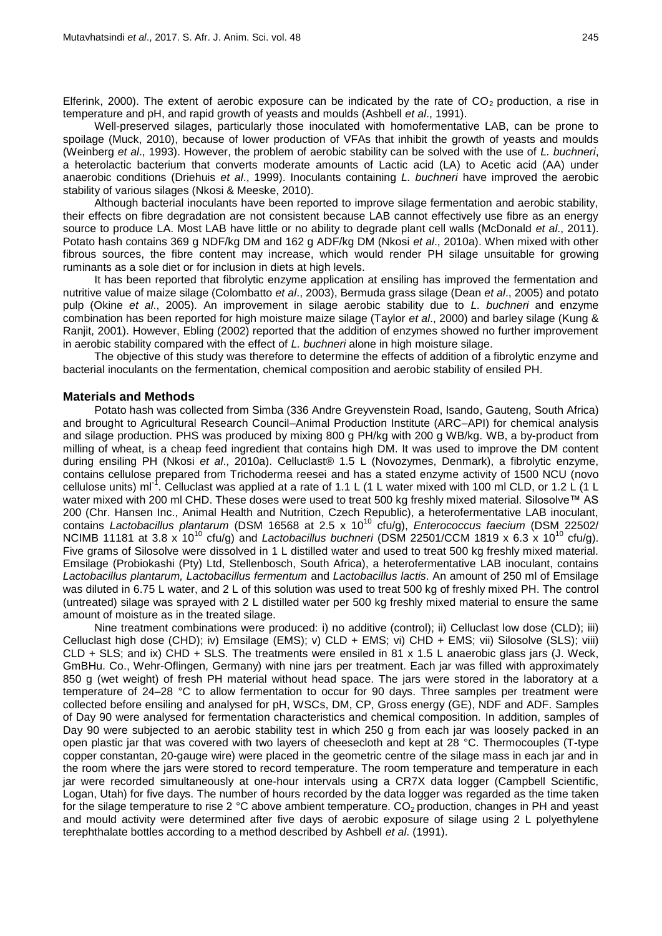Elferink, 2000). The extent of aerobic exposure can be indicated by the rate of  $CO<sub>2</sub>$  production, a rise in temperature and pH, and rapid growth of yeasts and moulds (Ashbell *et al*., 1991).

Well-preserved silages, particularly those inoculated with homofermentative LAB, can be prone to spoilage (Muck, 2010), because of lower production of VFAs that inhibit the growth of yeasts and moulds (Weinberg *et al*., 1993). However, the problem of aerobic stability can be solved with the use of *L. buchneri*, a heterolactic bacterium that converts moderate amounts of Lactic acid (LA) to Acetic acid (AA) under anaerobic conditions (Driehuis *et al*., 1999). Inoculants containing *L. buchneri* have improved the aerobic stability of various silages (Nkosi & Meeske, 2010).

Although bacterial inoculants have been reported to improve silage fermentation and aerobic stability, their effects on fibre degradation are not consistent because LAB cannot effectively use fibre as an energy source to produce LA. Most LAB have little or no ability to degrade plant cell walls (McDonald *et al*., 2011). Potato hash contains 369 g NDF/kg DM and 162 g ADF/kg DM (Nkosi *et al*., 2010a). When mixed with other fibrous sources, the fibre content may increase, which would render PH silage unsuitable for growing ruminants as a sole diet or for inclusion in diets at high levels.

It has been reported that fibrolytic enzyme application at ensiling has improved the fermentation and nutritive value of maize silage (Colombatto *et al*., 2003), Bermuda grass silage (Dean *et al*., 2005) and potato pulp (Okine *et al*., 2005). An improvement in silage aerobic stability due to *L. buchneri* and enzyme combination has been reported for high moisture maize silage (Taylor *et al*., 2000) and barley silage (Kung & Ranjit, 2001). However, Ebling (2002) reported that the addition of enzymes showed no further improvement in aerobic stability compared with the effect of *L. buchneri* alone in high moisture silage.

The objective of this study was therefore to determine the effects of addition of a fibrolytic enzyme and bacterial inoculants on the fermentation, chemical composition and aerobic stability of ensiled PH.

## **Materials and Methods**

Potato hash was collected from Simba (336 Andre Greyvenstein Road, Isando, Gauteng, South Africa) and brought to Agricultural Research Council–Animal Production Institute (ARC–API) for chemical analysis and silage production. PHS was produced by mixing 800 g PH/kg with 200 g WB/kg. WB, a by-product from milling of wheat, is a cheap feed ingredient that contains high DM. It was used to improve the DM content during ensiling PH (Nkosi *et al*., 2010a). Celluclast® 1.5 L (Novozymes, Denmark), a fibrolytic enzyme, contains cellulose prepared from Trichoderma reesei and has a stated enzyme activity of 1500 NCU (novo cellulose units) ml<sup>-1</sup>. Celluclast was applied at a rate of 1.1 L (1 L water mixed with 100 ml CLD, or 1.2 L (1 L water mixed with 200 ml CHD. These doses were used to treat 500 kg freshly mixed material. Silosolve™ AS 200 (Chr. Hansen Inc., Animal Health and Nutrition, Czech Republic), a heterofermentative LAB inoculant, contains Lactobacillus plantarum (DSM 16568 at 2.5 x 10<sup>10</sup> cfu/g), *Enterococcus faecium* (DSM 22502/ NCIMB 11181 at 3.8 x 10<sup>10</sup> cfu/g) and *Lactobacillus buchneri* (DSM 22501/CCM 1819 x 6.3 x 10<sup>10</sup> cfu/g). Five grams of Silosolve were dissolved in 1 L distilled water and used to treat 500 kg freshly mixed material. Emsilage (Probiokashi (Pty) Ltd, Stellenbosch, South Africa), a heterofermentative LAB inoculant, contains *Lactobacillus plantarum, Lactobacillus fermentum* and *Lactobacillus lactis*. An amount of 250 ml of Emsilage was diluted in 6.75 L water, and 2 L of this solution was used to treat 500 kg of freshly mixed PH. The control (untreated) silage was sprayed with 2 L distilled water per 500 kg freshly mixed material to ensure the same amount of moisture as in the treated silage.

Nine treatment combinations were produced: i) no additive (control); ii) Celluclast low dose (CLD); iii) Celluclast high dose (CHD); iv) Emsilage (EMS); v) CLD + EMS; vi) CHD + EMS; vii) Silosolve (SLS); viii) CLD + SLS; and ix) CHD + SLS. The treatments were ensiled in 81 x 1.5 L anaerobic glass jars (J. Weck, GmBHu. Co., Wehr-Oflingen, Germany) with nine jars per treatment. Each jar was filled with approximately 850 g (wet weight) of fresh PH material without head space. The jars were stored in the laboratory at a temperature of 24–28 °C to allow fermentation to occur for 90 days. Three samples per treatment were collected before ensiling and analysed for pH, WSCs, DM, CP, Gross energy (GE), NDF and ADF. Samples of Day 90 were analysed for fermentation characteristics and chemical composition. In addition, samples of Day 90 were subjected to an aerobic stability test in which 250 g from each jar was loosely packed in an open plastic jar that was covered with two layers of cheesecloth and kept at 28 °C. Thermocouples (T-type copper constantan, 20-gauge wire) were placed in the geometric centre of the silage mass in each jar and in the room where the jars were stored to record temperature. The room temperature and temperature in each jar were recorded simultaneously at one-hour intervals using a CR7X data logger (Campbell Scientific, Logan, Utah) for five days. The number of hours recorded by the data logger was regarded as the time taken for the silage temperature to rise 2  $^{\circ}$ C above ambient temperature. CO<sub>2</sub> production, changes in PH and yeast and mould activity were determined after five days of aerobic exposure of silage using 2 L polyethylene terephthalate bottles according to a method described by Ashbell *et al*. (1991).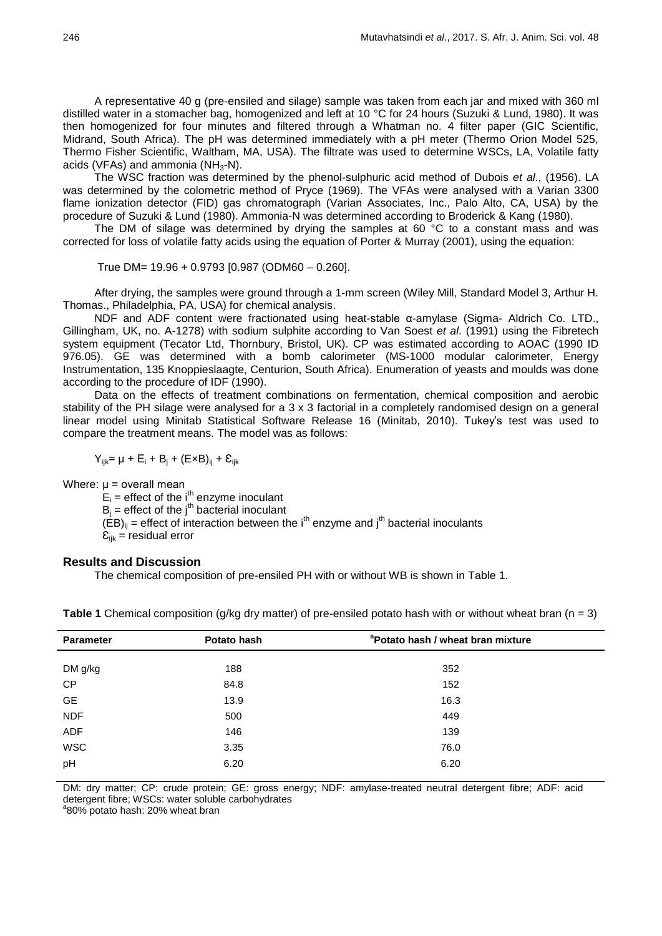A representative 40 g (pre-ensiled and silage) sample was taken from each jar and mixed with 360 ml distilled water in a stomacher bag, homogenized and left at 10 °C for 24 hours (Suzuki & Lund, 1980). It was then homogenized for four minutes and filtered through a Whatman no. 4 filter paper (GIC Scientific, Midrand, South Africa). The pH was determined immediately with a pH meter (Thermo Orion Model 525, Thermo Fisher Scientific, Waltham, MA, USA). The filtrate was used to determine WSCs, LA, Volatile fatty acids (VFAs) and ammonia ( $NH<sub>3</sub>-N$ ).

The WSC fraction was determined by the phenol-sulphuric acid method of Dubois *et al*., (1956). LA was determined by the colometric method of Pryce (1969). The VFAs were analysed with a Varian 3300 flame ionization detector (FID) gas chromatograph (Varian Associates, Inc., Palo Alto, CA, USA) by the procedure of Suzuki & Lund (1980). Ammonia-N was determined according to Broderick & Kang (1980).

The DM of silage was determined by drying the samples at 60  $\degree$ C to a constant mass and was corrected for loss of volatile fatty acids using the equation of Porter & Murray (2001), using the equation:

True DM= 19.96 + 0.9793 [0.987 (ODM60 – 0.260].

After drying, the samples were ground through a 1-mm screen (Wiley Mill, Standard Model 3, Arthur H. Thomas., Philadelphia, PA, USA) for chemical analysis.

NDF and ADF content were fractionated using heat-stable α-amylase (Sigma- Aldrich Co. LTD., Gillingham, UK, no. A-1278) with sodium sulphite according to Van Soest *et al*. (1991) using the Fibretech system equipment (Tecator Ltd, Thornbury, Bristol, UK). CP was estimated according to AOAC (1990 ID 976.05). GE was determined with a bomb calorimeter (MS-1000 modular calorimeter, Energy Instrumentation, 135 Knoppieslaagte, Centurion, South Africa). Enumeration of yeasts and moulds was done according to the procedure of IDF (1990).

Data on the effects of treatment combinations on fermentation, chemical composition and aerobic stability of the PH silage were analysed for a 3 x 3 factorial in a completely randomised design on a general linear model using Minitab Statistical Software Release 16 (Minitab, 2010). Tukey's test was used to compare the treatment means. The model was as follows:

 $Y_{iik} = \mu + E_i + B_i + (ExB)_{ii} + E_{iik}$ 

Where:  $\mu$  = overall mean

 $E_i$  = effect of the i<sup>th</sup> enzyme inoculant

 $B_i$  = effect of the j<sup>th</sup> bacterial inoculant

 $(\overrightarrow{EB})_{ii}$  = effect of interaction between the i<sup>th</sup> enzyme and j<sup>th</sup> bacterial inoculants

 $\mathcal{E}_{ijk}$  = residual error

## **Results and Discussion**

The chemical composition of pre-ensiled PH with or without WB is shown in Table 1.

| <b>Parameter</b> | Potato hash | <sup>a</sup> Potato hash / wheat bran mixture |  |  |  |  |
|------------------|-------------|-----------------------------------------------|--|--|--|--|
|                  |             |                                               |  |  |  |  |
| DM g/kg          | 188         | 352                                           |  |  |  |  |
| CP               | 84.8        | 152                                           |  |  |  |  |
| <b>GE</b>        | 13.9        | 16.3                                          |  |  |  |  |
| <b>NDF</b>       | 500         | 449                                           |  |  |  |  |
| ADF              | 146         | 139                                           |  |  |  |  |
| <b>WSC</b>       | 3.35        | 76.0                                          |  |  |  |  |
| pH               | 6.20        | 6.20                                          |  |  |  |  |
|                  |             |                                               |  |  |  |  |

**Table 1** Chemical composition (g/kg dry matter) of pre-ensiled potato hash with or without wheat bran ( $n = 3$ )

DM: dry matter; CP: crude protein; GE: gross energy; NDF: amylase-treated neutral detergent fibre; ADF: acid detergent fibre; WSCs: water soluble carbohydrates

a 80% potato hash: 20% wheat bran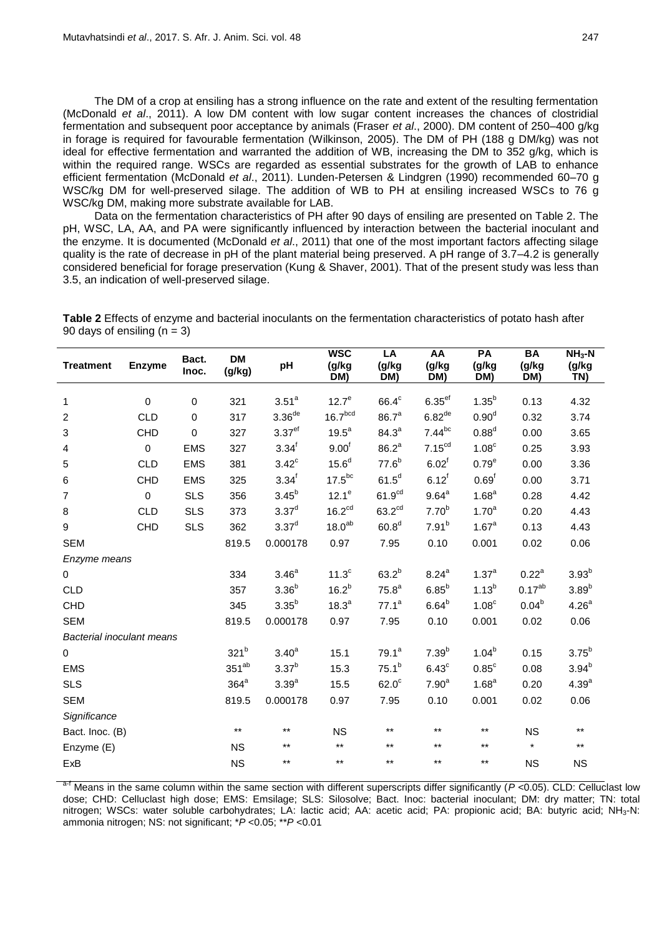The DM of a crop at ensiling has a strong influence on the rate and extent of the resulting fermentation (McDonald *et al*., 2011). A low DM content with low sugar content increases the chances of clostridial fermentation and subsequent poor acceptance by animals (Fraser *et al*., 2000). DM content of 250–400 g/kg in forage is required for favourable fermentation (Wilkinson, 2005). The DM of PH (188 g DM/kg) was not ideal for effective fermentation and warranted the addition of WB, increasing the DM to 352 g/kg, which is within the required range. WSCs are regarded as essential substrates for the growth of LAB to enhance efficient fermentation (McDonald *et al*., 2011). Lunden-Petersen & Lindgren (1990) recommended 60–70 g WSC/kg DM for well-preserved silage. The addition of WB to PH at ensiling increased WSCs to 76 g WSC/kg DM, making more substrate available for LAB.

Data on the fermentation characteristics of PH after 90 days of ensiling are presented on Table 2. The pH, WSC, LA, AA, and PA were significantly influenced by interaction between the bacterial inoculant and the enzyme. It is documented (McDonald *et al*., 2011) that one of the most important factors affecting silage quality is the rate of decrease in pH of the plant material being preserved. A pH range of 3.7–4.2 is generally considered beneficial for forage preservation (Kung & Shaver, 2001). That of the present study was less than 3.5, an indication of well-preserved silage.

**Table 2** Effects of enzyme and bacterial inoculants on the fermentation characteristics of potato hash after 90 days of ensiling  $(n = 3)$ 

| <b>Treatment</b>                 | <b>Enzyme</b> | Bact.<br>Inoc. | <b>DM</b><br>(g/kg) | pH                 | <b>WSC</b><br>(g/kg)<br>DM) | $\overline{LA}$<br>(g/kg<br>DM) | AA<br>(g/kg<br>DM)   | PA<br>(g/kg<br>DM) | <b>BA</b><br>(g/kg)<br>DM) | $NH3-N$<br>(g/kg)<br>TN) |
|----------------------------------|---------------|----------------|---------------------|--------------------|-----------------------------|---------------------------------|----------------------|--------------------|----------------------------|--------------------------|
| $\mathbf{1}$                     | $\mathbf 0$   | 0              | 321                 | 3.51 <sup>a</sup>  | 12.7 <sup>e</sup>           | $66.4^c$                        | $6.35$ <sup>ef</sup> | $1.35^{b}$         | 0.13                       | 4.32                     |
|                                  | <b>CLD</b>    | $\pmb{0}$      | 317                 | 3.36 <sup>de</sup> | 16.7 <sup>bcd</sup>         | 86.7 <sup>a</sup>               | $6.82^{\text{de}}$   | 0.90 <sup>d</sup>  | 0.32                       |                          |
| $\overline{c}$                   |               |                |                     | 3.37 <sup>ef</sup> | $19.5^a$                    | $84.3^{a}$                      | $7.44^{bc}$          | $0.88^d$           |                            | 3.74                     |
| 3                                | CHD           | 0              | 327                 |                    |                             |                                 |                      |                    | 0.00                       | 3.65                     |
| 4                                | $\mathbf 0$   | <b>EMS</b>     | 327                 | $3.34^{f}$         | 9.00 <sup>f</sup>           | 86.2 <sup>a</sup>               | 7.15 <sup>cd</sup>   | 1.08 <sup>c</sup>  | 0.25                       | 3.93                     |
| 5                                | <b>CLD</b>    | <b>EMS</b>     | 381                 | $3.42^{\circ}$     | 15.6 <sup>d</sup>           | $77.6^{b}$                      | 6.02 <sup>f</sup>    | 0.79 <sup>e</sup>  | 0.00                       | 3.36                     |
| $\,6\,$                          | CHD           | <b>EMS</b>     | 325                 | $3.34^{f}$         | $17.5^{bc}$                 | $61.5^d$                        | $6.12^{f}$           | 0.69 <sup>f</sup>  | 0.00                       | 3.71                     |
| 7                                | $\mathbf 0$   | <b>SLS</b>     | 356                 | $3.45^{b}$         | $12.1^e$                    | 61.9 <sup>cd</sup>              | $9.64^a$             | 1.68 <sup>a</sup>  | 0.28                       | 4.42                     |
| $\bf8$                           | <b>CLD</b>    | <b>SLS</b>     | 373                 | $3.37^{d}$         | 16.2 <sup>cd</sup>          | 63.2 <sup>cd</sup>              | 7.70 <sup>b</sup>    | 1.70 <sup>a</sup>  | 0.20                       | 4.43                     |
| 9                                | CHD           | <b>SLS</b>     | 362                 | 3.37 <sup>d</sup>  | 18.0 <sup>ab</sup>          | 60.8 <sup>d</sup>               | $7.91^{b}$           | 1.67 <sup>a</sup>  | 0.13                       | 4.43                     |
| <b>SEM</b>                       |               |                | 819.5               | 0.000178           | 0.97                        | 7.95                            | 0.10                 | 0.001              | 0.02                       | 0.06                     |
| Enzyme means                     |               |                |                     |                    |                             |                                 |                      |                    |                            |                          |
| $\mathbf 0$                      |               |                | 334                 | 3.46 <sup>a</sup>  | 11.3 <sup>c</sup>           | $63.2^{b}$                      | $8.24^{a}$           | $1.37^{a}$         | $0.22^{\text{a}}$          | $3.93^{b}$               |
| <b>CLD</b>                       |               |                | 357                 | $3.36^{b}$         | $16.2^{b}$                  | 75.8 <sup>a</sup>               | $6.85^{b}$           | $1.13^{b}$         | $0.17^{ab}$                | $3.89^{b}$               |
| CHD                              |               |                | 345                 | $3.35^{b}$         | 18.3 <sup>a</sup>           | $77.1^a$                        | $6.64^{b}$           | 1.08 <sup>c</sup>  | $0.04^{b}$                 | 4.26 <sup>a</sup>        |
| <b>SEM</b>                       |               |                | 819.5               | 0.000178           | 0.97                        | 7.95                            | 0.10                 | 0.001              | 0.02                       | 0.06                     |
| <b>Bacterial inoculant means</b> |               |                |                     |                    |                             |                                 |                      |                    |                            |                          |
| $\pmb{0}$                        |               |                | 321 <sup>b</sup>    | 3.40 <sup>a</sup>  | 15.1                        | $79.1^a$                        | $7.39^{b}$           | $1.04^{b}$         | 0.15                       | $3.75^{b}$               |
| <b>EMS</b>                       |               |                | $351^{ab}$          | $3.37^{b}$         | 15.3                        | $75.1^{b}$                      | $6.43^{\circ}$       | $0.85^{\circ}$     | 0.08                       | $3.94^{b}$               |
| <b>SLS</b>                       |               |                | $364^a$             | 3.39 <sup>a</sup>  | 15.5                        | $62.0^\circ$                    | 7.90 <sup>a</sup>    | 1.68 <sup>a</sup>  | 0.20                       | 4.39 <sup>a</sup>        |
| <b>SEM</b>                       |               |                | 819.5               | 0.000178           | 0.97                        | 7.95                            | 0.10                 | 0.001              | 0.02                       | 0.06                     |
| Significance                     |               |                |                     |                    |                             |                                 |                      |                    |                            |                          |
| Bact. Inoc. (B)                  |               |                | $***$               | $***$              | <b>NS</b>                   | $***$                           | $***$                | $***$              | <b>NS</b>                  | $***$                    |
| Enzyme (E)                       |               |                | <b>NS</b>           | $***$              | $***$                       | $^{\star\star}$                 | $^{\star\star}$      | $***$              | $\star$                    | $^{\star\star}$          |
| ExB                              |               |                | <b>NS</b>           | $***$              | $***$                       | $***$                           | $***$                | $***$              | <b>NS</b>                  | <b>NS</b>                |

<sup>a-f</sup> Means in the same column within the same section with different superscripts differ significantly (*P* <0.05). CLD: Celluclast low dose; CHD: Celluclast high dose; EMS: Emsilage; SLS: Silosolve; Bact. Inoc: bacterial inoculant; DM: dry matter; TN: total nitrogen; WSCs: water soluble carbohydrates; LA: lactic acid; AA: acetic acid; PA: propionic acid; BA: butyric acid; NH<sub>3</sub>-N: ammonia nitrogen; NS: not significant; \**P* <0.05; \*\**P* <0.01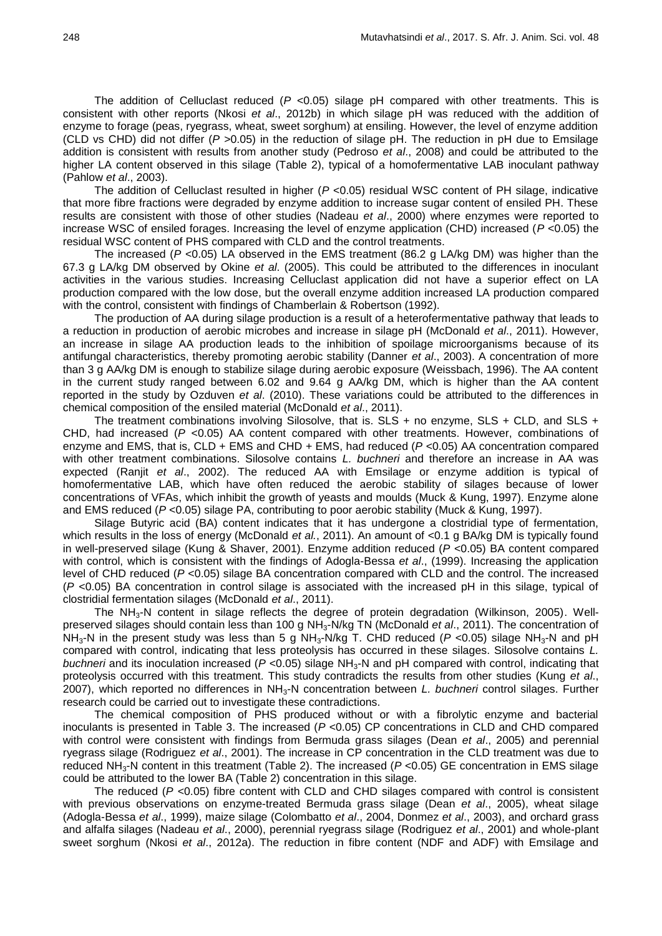The addition of Celluclast reduced  $(P \le 0.05)$  silage pH compared with other treatments. This is consistent with other reports (Nkosi *et al*., 2012b) in which silage pH was reduced with the addition of enzyme to forage (peas, ryegrass, wheat, sweet sorghum) at ensiling. However, the level of enzyme addition (CLD vs CHD) did not differ (*P* >0.05) in the reduction of silage pH. The reduction in pH due to Emsilage addition is consistent with results from another study (Pedroso *et al*., 2008) and could be attributed to the higher LA content observed in this silage (Table 2), typical of a homofermentative LAB inoculant pathway (Pahlow *et al*., 2003).

The addition of Celluclast resulted in higher (*P* <0.05) residual WSC content of PH silage, indicative that more fibre fractions were degraded by enzyme addition to increase sugar content of ensiled PH. These results are consistent with those of other studies (Nadeau *et al*., 2000) where enzymes were reported to increase WSC of ensiled forages. Increasing the level of enzyme application (CHD) increased (*P* <0.05) the residual WSC content of PHS compared with CLD and the control treatments.

The increased (*P* <0.05) LA observed in the EMS treatment (86.2 g LA/kg DM) was higher than the 67.3 g LA/kg DM observed by Okine *et al*. (2005). This could be attributed to the differences in inoculant activities in the various studies. Increasing Celluclast application did not have a superior effect on LA production compared with the low dose, but the overall enzyme addition increased LA production compared with the control, consistent with findings of Chamberlain & Robertson (1992).

The production of AA during silage production is a result of a heterofermentative pathway that leads to a reduction in production of aerobic microbes and increase in silage pH (McDonald *et al*., 2011). However, an increase in silage AA production leads to the inhibition of spoilage microorganisms because of its antifungal characteristics, thereby promoting aerobic stability (Danner *et al*., 2003). A concentration of more than 3 g AA/kg DM is enough to stabilize silage during aerobic exposure (Weissbach, 1996). The AA content in the current study ranged between 6.02 and 9.64 g AA/kg DM, which is higher than the AA content reported in the study by Ozduven *et al*. (2010). These variations could be attributed to the differences in chemical composition of the ensiled material (McDonald *et al*., 2011).

The treatment combinations involving Silosolve, that is. SLS + no enzyme, SLS + CLD, and SLS + CHD, had increased (*P* <0.05) AA content compared with other treatments. However, combinations of enzyme and EMS, that is, CLD + EMS and CHD + EMS, had reduced (*P* <0.05) AA concentration compared with other treatment combinations. Silosolve contains *L. buchneri* and therefore an increase in AA was expected (Ranjit *et al*., 2002). The reduced AA with Emsilage or enzyme addition is typical of homofermentative LAB, which have often reduced the aerobic stability of silages because of lower concentrations of VFAs, which inhibit the growth of yeasts and moulds (Muck & Kung, 1997). Enzyme alone and EMS reduced (*P* <0.05) silage PA, contributing to poor aerobic stability (Muck & Kung, 1997).

Silage Butyric acid (BA) content indicates that it has undergone a clostridial type of fermentation, which results in the loss of energy (McDonald *et al.*, 2011). An amount of <0.1 g BA/kg DM is typically found in well-preserved silage (Kung & Shaver, 2001). Enzyme addition reduced (*P* <0.05) BA content compared with control, which is consistent with the findings of Adogla-Bessa *et al*., (1999). Increasing the application level of CHD reduced (*P* <0.05) silage BA concentration compared with CLD and the control. The increased (*P* <0.05) BA concentration in control silage is associated with the increased pH in this silage, typical of clostridial fermentation silages (McDonald *et al*., 2011).

The  $NH<sub>3</sub>-N$  content in silage reflects the degree of protein degradation (Wilkinson, 2005). Wellpreserved silages should contain less than 100 g NH3-N/kg TN (McDonald *et al*., 2011). The concentration of NH<sub>3</sub>-N in the present study was less than 5 g NH<sub>3</sub>-N/kg T. CHD reduced (P <0.05) silage NH<sub>3</sub>-N and pH compared with control, indicating that less proteolysis has occurred in these silages. Silosolve contains *L. buchneri* and its inoculation increased (*P* <0.05) silage NH<sub>3</sub>-N and pH compared with control, indicating that proteolysis occurred with this treatment. This study contradicts the results from other studies (Kung *et al*., 2007), which reported no differences in NH3-N concentration between *L. buchneri* control silages. Further research could be carried out to investigate these contradictions.

The chemical composition of PHS produced without or with a fibrolytic enzyme and bacterial inoculants is presented in Table 3. The increased (*P* <0.05) CP concentrations in CLD and CHD compared with control were consistent with findings from Bermuda grass silages (Dean *et al*., 2005) and perennial ryegrass silage (Rodriguez *et al*., 2001). The increase in CP concentration in the CLD treatment was due to reduced NH3-N content in this treatment (Table 2). The increased (*P* <0.05) GE concentration in EMS silage could be attributed to the lower BA (Table 2) concentration in this silage.

The reduced (*P* <0.05) fibre content with CLD and CHD silages compared with control is consistent with previous observations on enzyme-treated Bermuda grass silage (Dean *et al*., 2005), wheat silage (Adogla-Bessa *et al*., 1999), maize silage (Colombatto *et al*., 2004, Donmez *et al*., 2003), and orchard grass and alfalfa silages (Nadeau *et al*., 2000), perennial ryegrass silage (Rodriguez *et al*., 2001) and whole-plant sweet sorghum (Nkosi *et al*., 2012a). The reduction in fibre content (NDF and ADF) with Emsilage and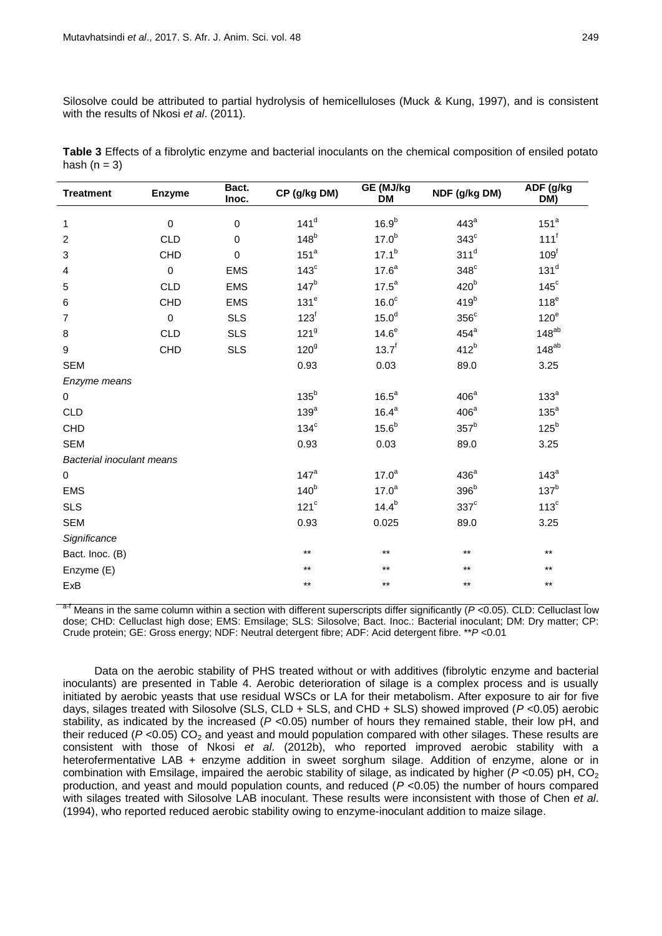Silosolve could be attributed to partial hydrolysis of hemicelluloses (Muck & Kung, 1997), and is consistent with the results of Nkosi *et al.* (2011).

| Table 3 Effects of a fibrolytic enzyme and bacterial inoculants on the chemical composition of ensiled potato |  |
|---------------------------------------------------------------------------------------------------------------|--|
| hash $(n = 3)$                                                                                                |  |

| <b>Treatment</b>          | <b>Enzyme</b> | Bact.<br>Inoc. | CP (g/kg DM)     | GE (MJ/kg<br><b>DM</b> | NDF (g/kg DM)    | ADF (g/kg<br>DM) |
|---------------------------|---------------|----------------|------------------|------------------------|------------------|------------------|
| 1                         | $\mathbf 0$   | $\pmb{0}$      | $141^d$          | 16.9 <sup>b</sup>      | 443 <sup>a</sup> | 151 <sup>a</sup> |
| 2                         | <b>CLD</b>    | $\Omega$       | $148^b$          | 17.0 <sup>b</sup>      | $343^{\circ}$    | $111^f$          |
| 3                         | CHD           | $\mathbf 0$    | 151 <sup>a</sup> | $17.1^{b}$             | $311^d$          | 109 <sup>f</sup> |
| 4                         | $\pmb{0}$     | <b>EMS</b>     | $143^\circ$      | $17.6^a$               | $348^\circ$      | 131 <sup>d</sup> |
| 5                         | <b>CLD</b>    | <b>EMS</b>     | 147 <sup>b</sup> | $17.5^a$               | 420 <sup>b</sup> | $145^\circ$      |
| 6                         | CHD           | <b>EMS</b>     | 131 <sup>e</sup> | 16.0 <sup>c</sup>      | 419 <sup>b</sup> | 118 <sup>e</sup> |
| 7                         | $\mathbf 0$   | <b>SLS</b>     | $123^f$          | 15.0 <sup>d</sup>      | $356^{\circ}$    | 120 <sup>e</sup> |
| 8                         | <b>CLD</b>    | <b>SLS</b>     | 121 <sup>9</sup> | $14.6^e$               | $454^a$          | $148^{ab}$       |
| 9                         | CHD           | <b>SLS</b>     | 120 <sup>9</sup> | $13.7^{f}$             | $412^b$          | $148^{ab}$       |
| <b>SEM</b>                |               |                | 0.93             | 0.03                   | 89.0             | 3.25             |
| Enzyme means              |               |                |                  |                        |                  |                  |
| $\pmb{0}$                 |               |                | $135^b$          | $16.5^a$               | 406 <sup>a</sup> | 133 <sup>a</sup> |
| <b>CLD</b>                |               |                | 139 <sup>a</sup> | $16.4^a$               | 406 <sup>a</sup> | $135^a$          |
| CHD                       |               |                | $134^\circ$      | 15.6 <sup>b</sup>      | 357 <sup>b</sup> | $125^b$          |
| <b>SEM</b>                |               |                | 0.93             | 0.03                   | 89.0             | 3.25             |
| Bacterial inoculant means |               |                |                  |                        |                  |                  |
| 0                         |               |                | $147^a$          | 17.0 <sup>a</sup>      | 436 <sup>a</sup> | $143^a$          |
| <b>EMS</b>                |               |                | 140 <sup>b</sup> | 17.0 <sup>a</sup>      | 396 <sup>b</sup> | 137 <sup>b</sup> |
| <b>SLS</b>                |               |                | $121^c$          | $14.4^{b}$             | $337^{\circ}$    | $113^c$          |
| <b>SEM</b>                |               |                | 0.93             | 0.025                  | 89.0             | 3.25             |
| Significance              |               |                |                  |                        |                  |                  |
| Bact. Inoc. (B)           |               |                | $***$            | $***$                  | $***$            | $***$            |
| Enzyme (E)                |               |                | $**$             | $***$                  | $***$            | $***$            |
| ExB                       |               |                | $***$            | $***$                  | $***$            | $***$            |

Means in the same column within a section with different superscripts differ significantly ( $P$  <0.05). CLD: Celluclast low dose; CHD: Celluclast high dose; EMS: Emsilage; SLS: Silosolve; Bact. Inoc.: Bacterial inoculant; DM: Dry matter; CP: Crude protein; GE: Gross energy; NDF: Neutral detergent fibre; ADF: Acid detergent fibre. \*\**P* <0.01

Data on the aerobic stability of PHS treated without or with additives (fibrolytic enzyme and bacterial inoculants) are presented in Table 4. Aerobic deterioration of silage is a complex process and is usually initiated by aerobic yeasts that use residual WSCs or LA for their metabolism. After exposure to air for five days, silages treated with Silosolve (SLS, CLD + SLS, and CHD + SLS) showed improved (*P* <0.05) aerobic stability, as indicated by the increased (*P* <0.05) number of hours they remained stable, their low pH, and their reduced (*P* <0.05) CO<sub>2</sub> and yeast and mould population compared with other silages. These results are consistent with those of Nkosi *et al*. (2012b), who reported improved aerobic stability with a heterofermentative LAB + enzyme addition in sweet sorghum silage. Addition of enzyme, alone or in combination with Emsilage, impaired the aerobic stability of silage, as indicated by higher ( $P$  <0.05) pH, CO<sub>2</sub> production, and yeast and mould population counts, and reduced (*P* <0.05) the number of hours compared with silages treated with Silosolve LAB inoculant. These results were inconsistent with those of Chen *et al*. (1994), who reported reduced aerobic stability owing to enzyme-inoculant addition to maize silage.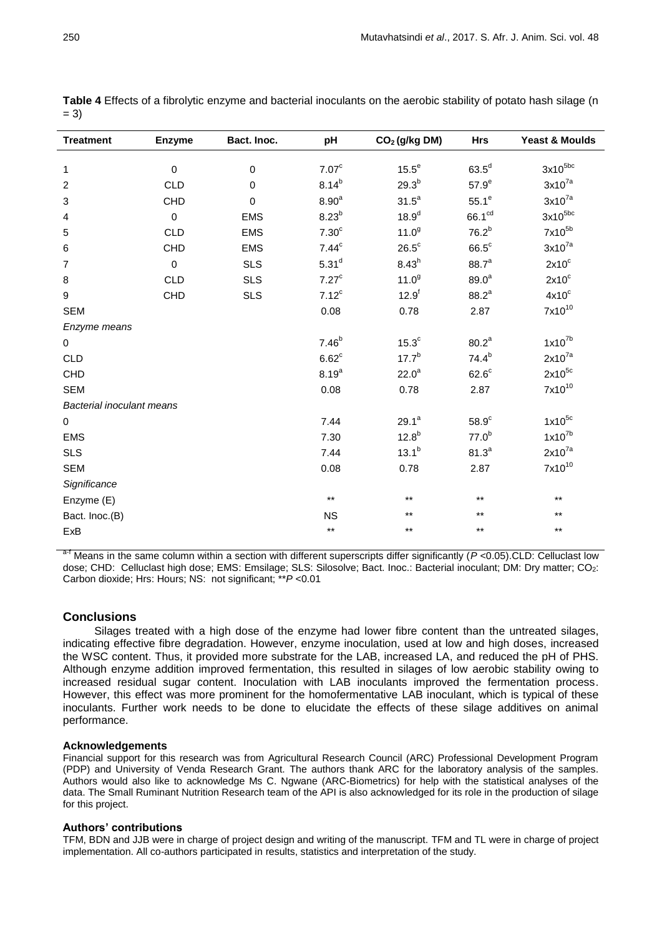| <b>Treatment</b>          | <b>Enzyme</b> | Bact. Inoc. | pH                | CO <sub>2</sub> (g/kg DM) | <b>Hrs</b>         | <b>Yeast &amp; Moulds</b> |
|---------------------------|---------------|-------------|-------------------|---------------------------|--------------------|---------------------------|
|                           |               |             |                   |                           |                    |                           |
| 1                         | 0             | $\mathbf 0$ | 7.07 <sup>c</sup> | $15.5^e$                  | $63.5^d$           | $3x10^{5bc}$              |
| $\overline{c}$            | <b>CLD</b>    | $\mathbf 0$ | $8.14^{b}$        | $29.3^{b}$                | 57.9 <sup>e</sup>  | $3x10^{7a}$               |
| 3                         | <b>CHD</b>    | $\mathbf 0$ | 8.90 <sup>a</sup> | $31.5^a$                  | $55.1^\circ$       | $3x10^{7a}$               |
| 4                         | $\mathbf 0$   | <b>EMS</b>  | 8.23 <sup>b</sup> | 18.9 <sup>d</sup>         | 66.1 <sup>cd</sup> | $3x10^{5bc}$              |
| $\sqrt{5}$                | <b>CLD</b>    | <b>EMS</b>  | 7.30 <sup>c</sup> | 11.0 <sup>9</sup>         | 76.2 <sup>b</sup>  | 7x10 <sup>5b</sup>        |
| $\,6$                     | <b>CHD</b>    | <b>EMS</b>  | 7.44 <sup>c</sup> | $26.5^{\circ}$            | $66.5^\circ$       | $3x10^{7a}$               |
| $\overline{7}$            | $\mathbf 0$   | <b>SLS</b>  | 5.31 <sup>d</sup> | $8.43^{h}$                | $88.7^{a}$         | $2x10^c$                  |
| 8                         | <b>CLD</b>    | <b>SLS</b>  | 7.27 <sup>c</sup> | $11.0^{9}$                | 89.0 <sup>a</sup>  | $2x10^c$                  |
| $\boldsymbol{9}$          | CHD           | <b>SLS</b>  | $7.12^c$          | $12.9^{f}$                | $88.2^{a}$         | $4x10^c$                  |
| <b>SEM</b>                |               |             | 0.08              | 0.78                      | 2.87               | $7x10^{10}$               |
| Enzyme means              |               |             |                   |                           |                    |                           |
| 0                         |               |             | $7.46^{b}$        | 15.3 <sup>c</sup>         | 80.2 <sup>a</sup>  | $1x10^{7b}$               |
| <b>CLD</b>                |               |             | $6.62^c$          | $17.7^{b}$                | $74.4^{b}$         | $2x10^{7a}$               |
| CHD                       |               |             | $8.19^{a}$        | 22.0 <sup>a</sup>         | $62.6^{\circ}$     | $2x10^{5c}$               |
| <b>SEM</b>                |               |             | 0.08              | 0.78                      | 2.87               | $7x10^{10}$               |
| Bacterial inoculant means |               |             |                   |                           |                    |                           |
| 0                         |               |             | 7.44              | $29.1^a$                  | 58.9 <sup>c</sup>  | $1x10^{5c}$               |
| <b>EMS</b>                |               |             | 7.30              | $12.8^{b}$                | 77.0 <sup>b</sup>  | $1x10^{7b}$               |
| <b>SLS</b>                |               |             | 7.44              | $13.1^{b}$                | $81.3^{a}$         | $2x10^{7a}$               |
| <b>SEM</b>                |               |             | 0.08              | 0.78                      | 2.87               | $7x10^{10}$               |
| Significance              |               |             |                   |                           |                    |                           |
| Enzyme (E)                |               |             | $\star\star$      | $^{\star\star}$           | $\star\star$       | $***$                     |
| Bact. Inoc.(B)            |               |             | <b>NS</b>         | $***$                     | $\star\star$       | $***$                     |
| ExB                       |               |             | $^{\star\star}$   | $^{\star\star}$           | $***$              | $***$                     |

**Table 4** Effects of a fibrolytic enzyme and bacterial inoculants on the aerobic stability of potato hash silage (n  $= 3)$ 

Means in the same column within a section with different superscripts differ significantly (*P* <0.05).CLD: Celluclast low dose; CHD: Celluclast high dose; EMS: Emsilage; SLS: Silosolve; Bact. Inoc.: Bacterial inoculant; DM: Dry matter; CO<sub>2</sub>: Carbon dioxide; Hrs: Hours; NS: not significant; \*\**P* <0.01

## **Conclusions**

Silages treated with a high dose of the enzyme had lower fibre content than the untreated silages, indicating effective fibre degradation. However, enzyme inoculation, used at low and high doses, increased the WSC content. Thus, it provided more substrate for the LAB, increased LA, and reduced the pH of PHS. Although enzyme addition improved fermentation, this resulted in silages of low aerobic stability owing to increased residual sugar content. Inoculation with LAB inoculants improved the fermentation process. However, this effect was more prominent for the homofermentative LAB inoculant, which is typical of these inoculants. Further work needs to be done to elucidate the effects of these silage additives on animal performance.

## **Acknowledgements**

Financial support for this research was from Agricultural Research Council (ARC) Professional Development Program (PDP) and University of Venda Research Grant. The authors thank ARC for the laboratory analysis of the samples. Authors would also like to acknowledge Ms C. Ngwane (ARC-Biometrics) for help with the statistical analyses of the data. The Small Ruminant Nutrition Research team of the API is also acknowledged for its role in the production of silage for this project.

## **Authors' contributions**

TFM, BDN and JJB were in charge of project design and writing of the manuscript. TFM and TL were in charge of project implementation. All co-authors participated in results, statistics and interpretation of the study.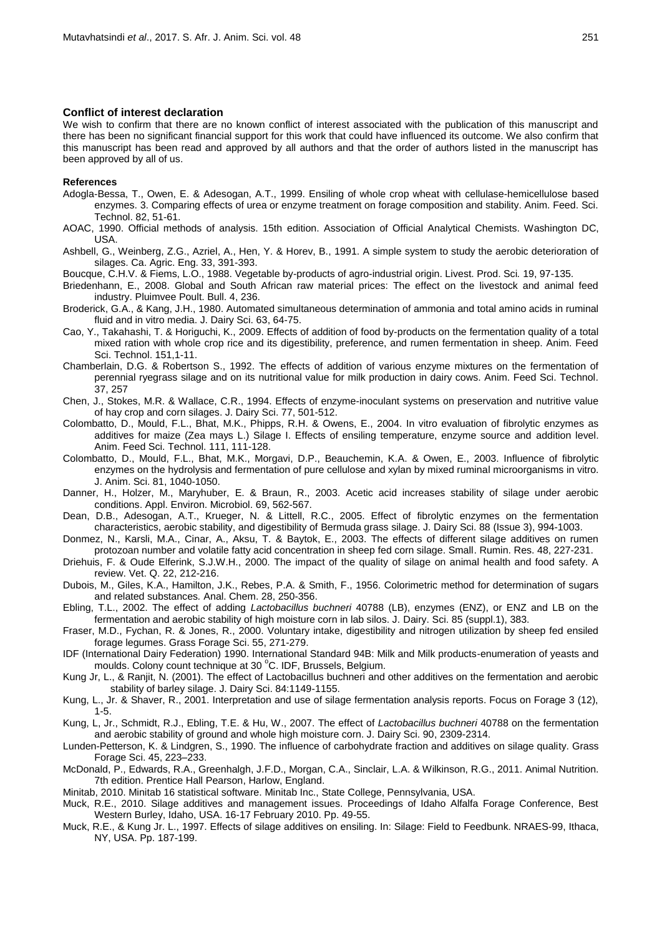#### **Conflict of interest declaration**

We wish to confirm that there are no known conflict of interest associated with the publication of this manuscript and there has been no significant financial support for this work that could have influenced its outcome. We also confirm that this manuscript has been read and approved by all authors and that the order of authors listed in the manuscript has been approved by all of us.

#### **References**

- Adogla-Bessa, T., Owen, E. & Adesogan, A.T., 1999. Ensiling of whole crop wheat with cellulase-hemicellulose based enzymes. 3. Comparing effects of urea or enzyme treatment on forage composition and stability. Anim. Feed. Sci. Technol. 82, 51-61.
- AOAC, 1990. Official methods of analysis. 15th edition. Association of Official Analytical Chemists. Washington DC, USA.
- Ashbell, G., Weinberg, Z.G., Azriel, A., Hen, Y. & Horev, B., 1991. A simple system to study the aerobic deterioration of silages. Ca. Agric. Eng. 33, 391-393.
- Boucque, C.H.V. & Fiems, L.O., 1988. Vegetable by-products of agro-industrial origin. Livest. Prod. Sci*.* 19, 97-135.
- Briedenhann, E., 2008. Global and South African raw material prices: The effect on the livestock and animal feed industry. Pluimvee Poult. Bull. 4, 236.
- Broderick, G.A., & Kang, J.H., 1980. Automated simultaneous determination of ammonia and total amino acids in ruminal fluid and in vitro media. J. Dairy Sci. 63, 64-75.
- Cao, Y., Takahashi, T. & Horiguchi, K., 2009. Effects of addition of food by-products on the fermentation quality of a total mixed ration with whole crop rice and its digestibility, preference, and rumen fermentation in sheep. Anim. Feed Sci. Technol. 151,1-11.
- Chamberlain, D.G. & Robertson S., 1992. The effects of addition of various enzyme mixtures on the fermentation of perennial ryegrass silage and on its nutritional value for milk production in dairy cows. Anim. Feed Sci. Technol*.* 37, 257
- Chen, J., Stokes, M.R. & Wallace, C.R., 1994. Effects of enzyme-inoculant systems on preservation and nutritive value of hay crop and corn silages. J. Dairy Sci. 77, 501-512.
- Colombatto, D., Mould, F.L., Bhat, M.K., Phipps, R.H. & Owens, E., 2004. In vitro evaluation of fibrolytic enzymes as additives for maize (Zea mays L.) Silage I. Effects of ensiling temperature, enzyme source and addition level. Anim. Feed Sci. Technol. 111, 111-128.
- Colombatto, D., Mould, F.L., Bhat, M.K., Morgavi, D.P., Beauchemin, K.A. & Owen, E., 2003. Influence of fibrolytic enzymes on the hydrolysis and fermentation of pure cellulose and xylan by mixed ruminal microorganisms in vitro. J. Anim. Sci. 81, 1040-1050.
- Danner, H., Holzer, M., Maryhuber, E. & Braun, R., 2003. Acetic acid increases stability of silage under aerobic conditions. Appl. Environ. Microbiol. 69, 562-567.
- Dean, D.B., Adesogan, A.T., Krueger, N. & Littell, R.C., 2005. Effect of fibrolytic enzymes on the fermentation characteristics, aerobic stability, and digestibility of Bermuda grass silage. J. Dairy Sci. 88 (Issue 3), 994-1003.
- Donmez, N., Karsli, M.A., Cinar, A., Aksu, T. & Baytok, E., 2003. The effects of different silage additives on rumen protozoan number and volatile fatty acid concentration in sheep fed corn silage. Small. Rumin. Res. 48, 227-231.
- Driehuis, F. & Oude Elferink, S.J.W.H., 2000. The impact of the quality of silage on animal health and food safety. A review. Vet. Q. 22, 212-216.
- Dubois, M., Giles, K.A., Hamilton, J.K., Rebes, P.A. & Smith, F., 1956. Colorimetric method for determination of sugars and related substances*.* Anal. Chem. 28, 250-356.
- Ebling, T.L., 2002. The effect of adding *Lactobacillus buchneri* 40788 (LB), enzymes (ENZ), or ENZ and LB on the fermentation and aerobic stability of high moisture corn in lab silos. J. Dairy. Sci. 85 (suppl.1), 383.
- Fraser, M.D., Fychan, R. & Jones, R., 2000. Voluntary intake, digestibility and nitrogen utilization by sheep fed ensiled forage legumes. Grass Forage Sci. 55, 271-279.
- IDF (International Dairy Federation) 1990. International Standard 94B: Milk and Milk products-enumeration of yeasts and moulds. Colony count technique at 30 °C. IDF, Brussels, Belgium.
- Kung Jr, L., & Ranjit, N. (2001). The effect of Lactobacillus buchneri and other additives on the fermentation and aerobic stability of barley silage. J. Dairy Sci. 84:1149-1155.
- Kung, L., Jr. & Shaver, R., 2001. Interpretation and use of silage fermentation analysis reports. Focus on Forage 3 (12), 1-5.
- Kung, L, Jr., Schmidt, R.J., Ebling, T.E. & Hu, W., 2007. The effect of *Lactobacillus buchneri* 40788 on the fermentation and aerobic stability of ground and whole high moisture corn. J. Dairy Sci. 90, 2309-2314.
- Lunden-Petterson, K. & Lindgren, S., 1990. The influence of carbohydrate fraction and additives on silage quality. Grass Forage Sci. 45, 223–233.
- McDonald, P., Edwards, R.A., Greenhalgh, J.F.D., Morgan, C.A., Sinclair, L.A. & Wilkinson, R.G., 2011. Animal Nutrition. 7th edition. Prentice Hall Pearson, Harlow, England.
- Minitab, 2010. Minitab 16 statistical software. Minitab Inc., State College, Pennsylvania, USA.
- Muck, R.E., 2010. Silage additives and management issues. Proceedings of Idaho Alfalfa Forage Conference, Best Western Burley, Idaho, USA. 16-17 February 2010. Pp. 49-55.
- Muck, R.E., & Kung Jr. L., 1997. Effects of silage additives on ensiling. In: Silage: Field to Feedbunk. NRAES-99, Ithaca, NY, USA. Pp. 187-199.